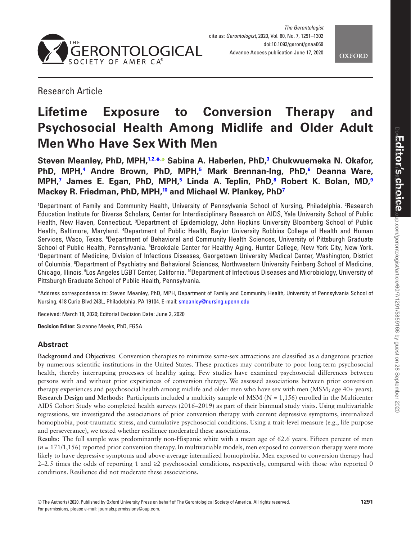



Research Article

# **Lifetime Exposure to Conversion Therapy and Psychosocial Health Among Midlife and Older Adult Men Who Have Sex With Men**

**Steven Meanley, PhD, MPH[,1,](#page-0-0)[2,](#page-0-1) [\\*](#page-0-2), Sabina A. Haberlen, PhD,[3](#page-0-3) Chukwuemeka N. Okafor, PhD, MPH,[4](#page-0-4) Andre Brown, PhD, MPH[,5](#page-0-5) Mark Brennan-Ing, PhD,[6](#page-0-6) Deanna Ware, MPH[,7](#page-0-7) James E. Egan, PhD, MPH[,5](#page-0-5) Linda A. Teplin, PhD[,8](#page-0-8) Robert K. Bolan, MD,[9](#page-0-9) Mackey R. Friedman, PhD, MPH[,10](#page-0-10) and Michael W. Plankey, Ph[D7](#page-0-7)**

<span id="page-0-6"></span><span id="page-0-5"></span><span id="page-0-4"></span><span id="page-0-3"></span><span id="page-0-1"></span><span id="page-0-0"></span>'Department of Family and Community Health, University of Pennsylvania School of Nursing, Philadelphia. <sup>2</sup>Research Education Institute for Diverse Scholars, Center for Interdisciplinary Research on AIDS, Yale University School of Public Health, New Haven, Connecticut. <sup>3</sup>Department of Epidemiology, John Hopkins University Bloomberg School of Public Health, Baltimore, Maryland. <sup>4</sup>Department of Public Health, Baylor University Robbins College of Health and Human Services, Waco, Texas. <sup>5</sup>Department of Behavioral and Community Health Sciences, University of Pittsburgh Graduate School of Public Health, Pennsylvania. <sup>6</sup>Brookdale Center for Healthy Aging, Hunter College, New York City, New York.<br>7Denartment of Medicine, Division of Infectious Diseases, Georgetown University Medical Center Washingt Department of Medicine, Division of Infectious Diseases, Georgetown University Medical Center, Washington, District of Columbia. <sup>8</sup>Department of Psychiatry and Behavioral Sciences, Northwestern University Feinberg School of Medicine, Chicago, Illinois. 9 Los Angeles LGBT Center, California. 10Department of Infectious Diseases and Microbiology, University of Pittsburgh Graduate School of Public Health, Pennsylvania.

<span id="page-0-10"></span><span id="page-0-9"></span><span id="page-0-8"></span><span id="page-0-7"></span><span id="page-0-2"></span>\*Address correspondence to: Steven Meanley, PhD, MPH, Department of Family and Community Health, University of Pennsylvania School of Nursing, 418 Curie Blvd 243L, Philadelphia, PA 19104. E-mail: [smeanley@nursing.upenn.edu](mailto:smeanley@nursing.upenn.edu?subject=)

Received: March 18, 2020; Editorial Decision Date: June 2, 2020

**Decision Editor:** Suzanne Meeks, PhD, FGSA

# **Abstract**

**Background and Objectives:** Conversion therapies to minimize same-sex attractions are classified as a dangerous practice by numerous scientific institutions in the United States. These practices may contribute to poor long-term psychosocial health, thereby interrupting processes of healthy aging. Few studies have examined psychosocial differences between persons with and without prior experiences of conversion therapy. We assessed associations between prior conversion therapy experiences and psychosocial health among midlife and older men who have sex with men (MSM; age 40+ years). **Research Design and Methods:** Participants included a multicity sample of MSM (*N* = 1,156) enrolled in the Multicenter AIDS Cohort Study who completed health surveys (2016–2019) as part of their biannual study visits. Using multivariable regressions, we investigated the associations of prior conversion therapy with current depressive symptoms, internalized homophobia, post-traumatic stress, and cumulative psychosocial conditions. Using a trait-level measure (e.g., life purpose and perseverance), we tested whether resilience moderated these associations.

**Results:** The full sample was predominantly non-Hispanic white with a mean age of 62.6 years. Fifteen percent of men (*n* = 171/1,156) reported prior conversion therapy. In multivariable models, men exposed to conversion therapy were more likely to have depressive symptoms and above-average internalized homophobia. Men exposed to conversion therapy had 2–2.5 times the odds of reporting 1 and  $\geq$ 2 psychosocial conditions, respectively, compared with those who reported 0 conditions. Resilience did not moderate these associations.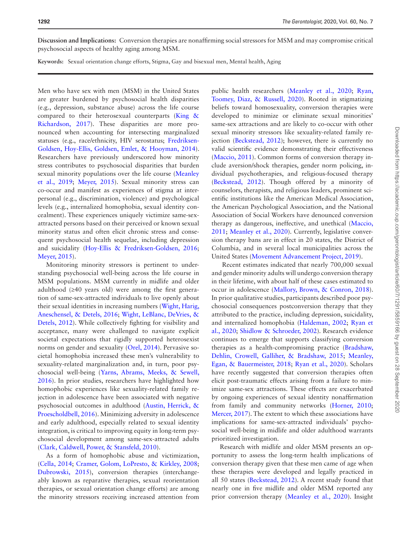**Discussion and Implications:** Conversion therapies are nonaffirming social stressors for MSM and may compromise critical psychosocial aspects of healthy aging among MSM.

**Keywords:** Sexual orientation change efforts, Stigma, Gay and bisexual men, Mental health, Aging

Men who have sex with men (MSM) in the United States are greater burdened by psychosocial health disparities (e.g., depression, substance abuse) across the life course compared to their heterosexual counterparts ([King &](#page-11-0)  [Richardson, 2017](#page-11-0)). These disparities are more pronounced when accounting for intersecting marginalized statuses (e.g., race/ethnicity, HIV serostatus; [Fredriksen-](#page-10-0)[Goldsen, Hoy-Ellis, Goldsen, Emlet, & Hooyman, 2014](#page-10-0)). Researchers have previously underscored how minority stress contributes to psychosocial disparities that burden sexual minority populations over the life course [\(Meanley](#page-11-1)  [et al., 2019](#page-11-1); [Meyer, 2015\)](#page-11-2). Sexual minority stress can co-occur and manifest as experiences of stigma at interpersonal (e.g., discrimination, violence) and psychological levels (e.g., internalized homophobia, sexual identity concealment). These experiences uniquely victimize same-sexattracted persons based on their perceived or known sexual minority status and often elicit chronic stress and consequent psychosocial health sequelae, including depression and suicidality [\(Hoy-Ellis & Fredriksen-Goldsen, 2016](#page-10-1); [Meyer, 2015\)](#page-11-2).

Monitoring minority stressors is pertinent to understanding psychosocial well-being across the life course in MSM populations. MSM currently in midlife and older adulthood (≥40 years old) were among the first generation of same-sex-attracted individuals to live openly about their sexual identities in increasing numbers [\(Wight, Harig,](#page-11-3)  [Aneschensel, & Detels, 2016;](#page-11-3) [Wight, LeBlanc, DeVries, &](#page-11-4)  [Detels, 2012](#page-11-4)). While collectively fighting for visibility and acceptance, many were challenged to navigate explicit societal expectations that rigidly supported heterosexist norms on gender and sexuality ([Orel, 2014\)](#page-11-5). Pervasive societal homophobia increased these men's vulnerability to sexuality-related marginalization and, in turn, poor psychosocial well-being ([Yarns, Abrams, Meeks, & Sewell,](#page-11-6)  [2016](#page-11-6)). In prior studies, researchers have highlighted how homophobic experiences like sexuality-related family rejection in adolescence have been associated with negative psychosocial outcomes in adulthood ([Austin, Herrick, &](#page-10-2)  [Proescholdbell, 2016\)](#page-10-2). Minimizing adversity in adolescence and early adulthood, especially related to sexual identity integration, is critical to improving equity in long-term psychosocial development among same-sex-attracted adults ([Clark, Caldwell, Power, & Stansfeld, 2010](#page-10-3)).

As a form of homophobic abuse and victimization, ([Cella, 2014](#page-10-4); [Cramer, Golom, LoPresto, & Kirkley, 2008](#page-10-5); [Dubrowski, 2015\)](#page-10-6), conversion therapies (interchangeably known as reparative therapies, sexual reorientation therapies, or sexual orientation change efforts) are among the minority stressors receiving increased attention from

public health researchers [\(Meanley et al., 2020;](#page-11-7) [Ryan,](#page-11-8)  [Toomey, Diaz, & Russell, 2020](#page-11-8)). Rooted in stigmatizing beliefs toward homosexuality, conversion therapies were developed to minimize or eliminate sexual minorities' same-sex attractions and are likely to co-occur with other sexual minority stressors like sexuality-related family rejection ([Beckstead, 2012\)](#page-10-7); however, there is currently no valid scientific evidence demonstrating their effectiveness ([Maccio, 2011](#page-11-9)). Common forms of conversion therapy include aversion/shock therapies, gender norm policing, individual psychotherapies, and religious-focused therapy ([Beckstead, 2012\)](#page-10-7). Though offered by a minority of counselors, therapists, and religious leaders, prominent scientific institutions like the American Medical Association, the American Psychological Association, and the National Association of Social Workers have denounced conversion therapy as dangerous, ineffective, and unethical ([Maccio,](#page-11-9)  [2011](#page-11-9); [Meanley et al., 2020](#page-11-7)). Currently, legislative conversion therapy bans are in effect in 20 states, the District of Columbia, and in several local municipalities across the United States ([Movement Advancement Project, 2019](#page-11-10)).

 Recent estimates indicated that nearly 700,000 sexual and gender minority adults will undergo conversion therapy in their lifetime, with about half of these cases estimated to occur in adolescence ([Mallory, Brown, & Conron, 2018](#page-11-11)). In prior qualitative studies, participants described poor psychosocial consequences postconversion therapy that they attributed to the practice, including depression, suicidality, and internalized homophobia ([Haldeman, 2002](#page-10-8); [Ryan et](#page-11-8)  [al., 2020](#page-11-8); [Shidlow & Schroeder, 2002](#page-11-12)). Research evidence continues to emerge that supports classifying conversion therapies as a health-compromising practice ([Bradshaw,](#page-10-9)  [Dehlin, Crowell, Galliher, & Bradshaw, 2015](#page-10-9); [Meanley,](#page-11-13)  [Egan, & Bauermeister, 2018;](#page-11-13) [Ryan et al., 2020](#page-11-8)). Scholars have recently suggested that conversion therapies often elicit post-traumatic effects arising from a failure to minimize same-sex attractions. These effects are exacerbated by ongoing experiences of sexual identity nonaffirmation from family and community networks [\(Horner, 2010](#page-10-10); [Mercer, 2017\)](#page-11-14). The extent to which these associations have implications for same-sex-attracted individuals' psychosocial well-being in midlife and older adulthood warrants prioritized investigation.

Research with midlife and older MSM presents an opportunity to assess the long-term health implications of conversion therapy given that these men came of age when these therapies were developed and legally practiced in all 50 states ([Beckstead, 2012](#page-10-7)). A recent study found that nearly one in five midlife and older MSM reported any prior conversion therapy [\(Meanley et al., 2020\)](#page-11-7). Insight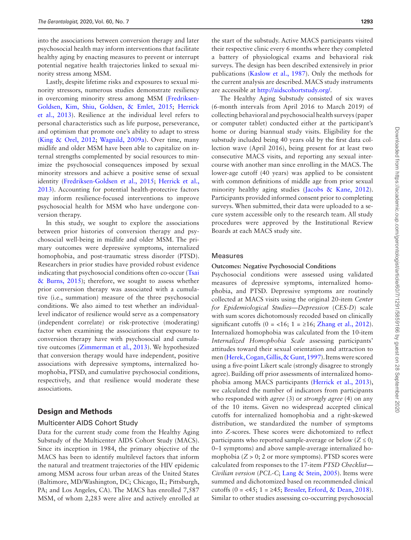into the associations between conversion therapy and later psychosocial health may inform interventions that facilitate healthy aging by enacting measures to prevent or interrupt potential negative health trajectories linked to sexual minority stress among MSM.

Lastly, despite lifetime risks and exposures to sexual minority stressors, numerous studies demonstrate resiliency in overcoming minority stress among MSM [\(Fredriksen-](#page-10-11)[Goldsen, Kim, Shiu, Goldsen, & Emlet, 2015;](#page-10-11) [Herrick](#page-10-12)  [et al., 2013](#page-10-12)). Resilience at the individual level refers to personal characteristics such as life purpose, perseverance, and optimism that promote one's ability to adapt to stress ([King & Orel, 2012](#page-10-13); [Wagnild, 2009a](#page-11-15)). Over time, many midlife and older MSM have been able to capitalize on internal strengths complemented by social resources to minimize the psychosocial consequences imposed by sexual minority stressors and achieve a positive sense of sexual identity [\(Fredriksen-Goldsen et al., 2015](#page-10-11); [Herrick et al.,](#page-10-12)  [2013](#page-10-12)). Accounting for potential health-protective factors may inform resilience-focused interventions to improve psychosocial health for MSM who have undergone conversion therapy.

In this study, we sought to explore the associations between prior histories of conversion therapy and psychosocial well-being in midlife and older MSM. The primary outcomes were depressive symptoms, internalized homophobia, and post-traumatic stress disorder (PTSD). Researchers in prior studies have provided robust evidence indicating that psychosocial conditions often co-occur [\(Tsai](#page-11-16)  [& Burns, 2015\)](#page-11-16); therefore, we sought to assess whether prior conversion therapy was associated with a cumulative (i.e., summation) measure of the three psychosocial conditions. We also aimed to test whether an individuallevel indicator of resilience would serve as a compensatory (independent correlate) or risk-protective (moderating) factor when examining the associations that exposure to conversion therapy have with psychosocial and cumulative outcomes ([Zimmerman et al., 2013\)](#page-11-17). We hypothesized that conversion therapy would have independent, positive associations with depressive symptoms, internalized homophobia, PTSD, and cumulative psychosocial conditions, respectively, and that resilience would moderate these associations.

## **Design and Methods**

#### Multicenter AIDS Cohort Study

Data for the current study come from the Healthy Aging Substudy of the Multicenter AIDS Cohort Study (MACS). Since its inception in 1984, the primary objective of the MACS has been to identify multilevel factors that inform the natural and treatment trajectories of the HIV epidemic among MSM across four urban areas of the United States (Baltimore, MD/Washington, DC; Chicago, IL; Pittsburgh, PA; and Los Angeles, CA). The MACS has enrolled 7,587 MSM, of whom 2,283 were alive and actively enrolled at

the start of the substudy. Active MACS participants visited their respective clinic every 6 months where they completed a battery of physiological exams and behavioral risk surveys. The design has been described extensively in prior publications [\(Kaslow et al., 1987\)](#page-10-14). Only the methods for the current analysis are described. MACS study instruments are accessible at <http://aidscohortstudy.org/>.

The Healthy Aging Substudy consisted of six waves (6-month intervals from April 2016 to March 2019) of collecting behavioral and psychosocial health surveys (paper or computer tablet) conducted either at the participant's home or during biannual study visits. Eligibility for the substudy included being 40 years old by the first data collection wave (April 2016), being present for at least two consecutive MACS visits, and reporting any sexual intercourse with another man since enrolling in the MACS. The lower-age cutoff (40 years) was applied to be consistent with common definitions of middle age from prior sexual minority healthy aging studies [\(Jacobs & Kane, 2012](#page-10-15)). Participants provided informed consent prior to completing surveys. When submitted, their data were uploaded to a secure system accessible only to the research team. All study procedures were approved by the Institutional Review Boards at each MACS study site.

#### Measures

#### **Outcomes: Negative Psychosocial Conditions**

Psychosocial conditions were assessed using validated measures of depressive symptoms, internalized homophobia, and PTSD. Depressive symptoms are routinely collected at MACS visits using the original 20-item *Center for Epidemiological Studies—Depression* (*CES-D*) scale with sum scores dichotomously recoded based on clinically significant cutoffs (0 = <16; 1 =  $\geq$ 16; [Zhang et al., 2012](#page-11-18)). Internalized homophobia was calculated from the 10-item *Internalized Homophobia Scale* assessing participants' attitudes toward their sexual orientation and attraction to men ([Herek, Cogan, Gillis, & Gunt, 1997](#page-10-16)). Items were scored using a five-point Likert scale (strongly disagree to strongly agree). Building off prior assessments of internalized homophobia among MACS participants ([Herrick et al., 2013](#page-10-12)), we calculated the number of indicators from participants who responded with *agree* (3) or *strongly agree* (4) on any of the 10 items. Given no widespread accepted clinical cutoffs for internalized homophobia and a right-skewed distribution, we standardized the number of symptoms into *Z-*scores. These scores were dichotomized to reflect participants who reported sample-average or below  $(Z \le 0;$ 0–1 symptoms) and above sample-average internalized homophobia  $(Z > 0; 2$  or more symptoms). PTSD scores were calculated from responses to the 17-item *PTSD Checklist— Civilian version* (*PCL-C*; [Lang & Stein, 2005\)](#page-11-19). Items were summed and dichotomized based on recommended clinical cutoffs  $(0 = 45; 1 = 245; Bressler, Erford, & Dean, 2018).$  $(0 = 45; 1 = 245; Bressler, Erford, & Dean, 2018).$  $(0 = 45; 1 = 245; Bressler, Erford, & Dean, 2018).$ Similar to other studies assessing co-occurring psychosocial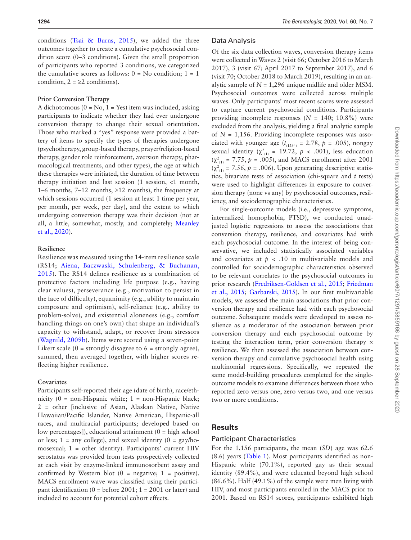conditions [\(Tsai & Burns, 2015\)](#page-11-16), we added the three outcomes together to create a cumulative psychosocial condition score (0–3 conditions). Given the small proportion of participants who reported 3 conditions, we categorized the cumulative scores as follows:  $0 = No$  condition;  $1 = 1$ condition,  $2 = \ge 2$  conditions).

#### **Prior Conversion Therapy**

A dichotomous ( $0 = No$ ,  $1 = Yes$ ) item was included, asking participants to indicate whether they had ever undergone conversion therapy to change their sexual orientation. Those who marked a "yes" response were provided a battery of items to specify the types of therapies undergone (psychotherapy, group-based therapy, prayer/religion-based therapy, gender role reinforcement, aversion therapy, pharmacological treatments, and other types), the age at which these therapies were initiated, the duration of time between therapy initiation and last session (1 session, <1 month, 1–6 months, 7–12 months, ≥12 months), the frequency at which sessions occurred (1 session at least 1 time per year, per month, per week, per day), and the extent to which undergoing conversion therapy was their decision (not at all, a little, somewhat, mostly, and completely; [Meanley](#page-11-7)  [et al., 2020\)](#page-11-7).

### **Resilience**

Resilience was measured using the 14-item resilience scale (RS14; [Aiena, Baczwaski, Schulenberg, & Buchanan,](#page-10-18)  [2015\)](#page-10-18). The RS14 defines resilience as a combination of protective factors including life purpose (e.g., having clear values), perseverance (e.g., motivation to persist in the face of difficulty), equanimity (e.g., ability to maintain composure and optimism), self-reliance (e.g., ability to problem-solve), and existential aloneness (e.g., comfort handling things on one's own) that shape an individual's capacity to withstand, adapt, or recover from stressors ([Wagnild, 2009b\)](#page-11-20). Items were scored using a seven-point Likert scale  $(0 =$  strongly disagree to  $6 =$  strongly agree), summed, then averaged together, with higher scores reflecting higher resilience.

## **Covariates**

Participants self-reported their age (date of birth), race/ethnicity  $(0 = \text{non-Hispanic white}; 1 = \text{non-Hispanic black};$ 2 = other [inclusive of Asian, Alaskan Native, Native Hawaiian/Pacific Islander, Native American, Hispanic-all races, and multiracial participants; developed based on low percentages]), educational attainment (0 = high school or less;  $1 =$  any college), and sexual identity  $(0 = \frac{gay}{ho}$ mosexual; 1 = other identity). Participants' current HIV serostatus was provided from tests prospectively collected at each visit by enzyme-linked immunosorbent assay and confirmed by Western blot  $(0 = \text{negative}; 1 = \text{positive}).$ MACS enrollment wave was classified using their participant identification  $(0 = \text{before } 2001; 1 = 2001 \text{ or later})$  and included to account for potential cohort effects.

#### Data Analysis

Of the six data collection waves, conversion therapy items were collected in Waves 2 (visit 66; October 2016 to March 2017), 3 (visit 67; April 2017 to September 2017), and 6 (visit 70; October 2018 to March 2019), resulting in an analytic sample of  $N = 1,296$  unique midlife and older MSM. Psychosocial outcomes were collected across multiple waves. Only participants' most recent scores were assessed to capture current psychosocial conditions. Participants providing incomplete responses  $(N = 140; 10.8\%)$  were excluded from the analysis, yielding a final analytic sample of  $N = 1,156$ . Providing incomplete responses was associated with younger age  $(t_{(1294)} = 2.78, p = .005)$ , nongay sexual identity ( $\chi^2_{(1)}$  = 19.72,  $p \lt .001$ ), less education  $(\chi^2_{(1)} = 7.75, p = .005)$ , and MACS enrollment after 2001  $(\chi^2_{(1)} = 7.56, p = .006)$ . Upon generating descriptive statistics, bivariate tests of association (chi-square and *t* tests) were used to highlight differences in exposure to conversion therapy (none vs any) by psychosocial outcomes, resiliency, and sociodemographic characteristics.

For single-outcome models (i.e., depressive symptoms, internalized homophobia, PTSD), we conducted unadjusted logistic regressions to assess the associations that conversion therapy, resilience, and covariates had with each psychosocial outcome. In the interest of being conservative, we included statistically associated variables and covariates at  $p < .10$  in multivariable models and controlled for sociodemographic characteristics observed to be relevant correlates to the psychosocial outcomes in prior research [\(Fredriksen-Goldsen et al., 2015;](#page-10-11) [Friedman](#page-10-19)  [et al., 2015;](#page-10-19) [Garbarski, 2015](#page-10-20)). In our first multivariable models, we assessed the main associations that prior conversion therapy and resilience had with each psychosocial outcome. Subsequent models were developed to assess resilience as a moderator of the association between prior conversion therapy and each psychosocial outcome by testing the interaction term, prior conversion therapy × resilience. We then assessed the association between conversion therapy and cumulative psychosocial health using multinomial regressions. Specifically, we repeated the same model-building procedures completed for the singleoutcome models to examine differences between those who reported zero versus one, zero versus two, and one versus two or more conditions.

## **Results**

#### Participant Characteristics

For the 1,156 participants, the mean (*SD*) age was 62.6 (8.6) years [\(Table 1](#page-4-0)). Most participants identified as non-Hispanic white (70.1%), reported gay as their sexual identity (89.4%), and were educated beyond high school (86.6%). Half (49.1%) of the sample were men living with HIV, and most participants enrolled in the MACS prior to 2001. Based on RS14 scores, participants exhibited high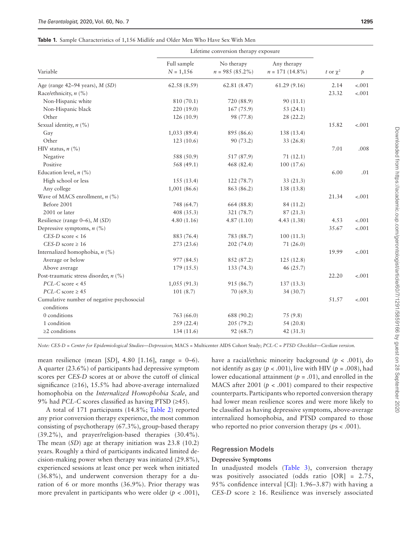#### <span id="page-4-0"></span>**Table 1.** Sample Characteristics of 1,156 Midlife and Older Men Who Have Sex With Men

|                                            | Lifetime conversion therapy exposure |                                  |                                   |               |               |
|--------------------------------------------|--------------------------------------|----------------------------------|-----------------------------------|---------------|---------------|
| Variable                                   | Full sample<br>$N = 1,156$           | No therapy<br>$n = 985 (85.2\%)$ | Any therapy<br>$n = 171 (14.8\%)$ | t or $\chi^2$ | $\mathcal{P}$ |
| Age (range $42-94$ years), $M(SD)$         | 62.58 (8.59)                         | 62.81(8.47)                      | 61.29(9.16)                       | 2.14          | $-.001$       |
| Race/ethnicity, $n$ (%)                    |                                      |                                  |                                   | 23.32         | $-.001$       |
| Non-Hispanic white                         | 810 (70.1)                           | 720 (88.9)                       | 90(11.1)                          |               |               |
| Non-Hispanic black                         | 220 (19.0)                           | 167(75.9)                        | 53(24.1)                          |               |               |
| Other                                      | 126(10.9)                            | 98 (77.8)                        | 28(22.2)                          |               |               |
| Sexual identity, $n$ (%)                   |                                      |                                  |                                   | 15.82         | $-.001$       |
| Gay                                        | 1,033(89.4)                          | 895 (86.6)                       | 138 (13.4)                        |               |               |
| Other                                      | 123(10.6)                            | 90 (73.2)                        | 33(26.8)                          |               |               |
| HIV status, $n$ (%)                        |                                      |                                  |                                   | 7.01          | .008          |
| Negative                                   | 588 (50.9)                           | 517 (87.9)                       | 71(12.1)                          |               |               |
| Positive                                   | 568 (49.1)                           | 468 (82.4)                       | 100(17.6)                         |               |               |
| Education level, $n$ (%)                   |                                      |                                  |                                   | 6.00          | .01           |
| High school or less                        | 155(13.4)                            | 122 (78.7)                       | 33(21.3)                          |               |               |
| Any college                                | 1,001(86.6)                          | 863 (86.2)                       | 138 (13.8)                        |               |               |
| Wave of MACS enrollment, $n$ (%)           |                                      |                                  |                                   | 21.34         | $-.001$       |
| Before 2001                                | 748 (64.7)                           | 664 (88.8)                       | 84 (11.2)                         |               |               |
| 2001 or later                              | 408 (35.3)                           | 321 (78.7)                       | 87(21.3)                          |               |               |
| Resilience (range $0-6$ ), $M(SD)$         | 4.80(1.16)                           | 4.87(1.10)                       | 4.43(1.38)                        | 4.53          | $-.001$       |
| Depressive symptoms, $n$ (%)               |                                      |                                  |                                   | 35.67         | $-.001$       |
| $CES-D$ score < 16                         | 883 (76.4)                           | 783 (88.7)                       | 100(11.3)                         |               |               |
| CES-D score $\geq 16$                      | 273(23.6)                            | 202(74.0)                        | 71(26.0)                          |               |               |
| Internalized homophobia, $n$ (%)           |                                      |                                  |                                   | 19.99         | $-.001$       |
| Average or below                           | 977(84.5)                            | 852 (87.2)                       | 125(12.8)                         |               |               |
| Above average                              | 179(15.5)                            | 133(74.3)                        | 46(25.7)                          |               |               |
| Post-traumatic stress disorder, $n$ (%)    |                                      |                                  |                                   | 22.20         | $-.001$       |
| $PCL-C$ score $< 45$                       | 1,055(91.3)                          | 915 (86.7)                       | 137(13.3)                         |               |               |
| $PCL-C score \ge 45$                       | 101(8.7)                             | 70 (69.3)                        | 34 (30.7)                         |               |               |
| Cumulative number of negative psychosocial |                                      |                                  |                                   | 51.57         | $-.001$       |
| conditions                                 |                                      |                                  |                                   |               |               |
| 0 conditions                               | 763 (66.0)                           | 688 (90.2)                       | 75 (9.8)                          |               |               |
| 1 condition                                | 259(22.4)                            | 205 (79.2)                       | 54(20.8)                          |               |               |
| $\geq$ 2 conditions                        | 134 (11.6)                           | 92 (68.7)                        | 42(31.3)                          |               |               |

*Note: CES-D* = *Center for Epidemiological Studies—Depression*; MACS = Multicenter AIDS Cohort Study; *PCL-C* = *PTSD Checklist—Civilian version*.

mean resilience (mean [*SD*], 4.80 [1.16], range = 0–6). A quarter (23.6%) of participants had depressive symptom scores per *CES-D* scores at or above the cutoff of clinical significance  $(≥16)$ , 15.5% had above-average internalized homophobia on the *Internalized Homophobia Scale*, and 9% had *PCL-C* scores classified as having PTSD (≥45).

A total of 171 participants (14.8%; [Table 2\)](#page-5-0) reported any prior conversion therapy experience, the most common consisting of psychotherapy (67.3%), group-based therapy (39.2%), and prayer/religion-based therapies (30.4%). The mean (*SD*) age at therapy initiation was 23.8 (10.2) years. Roughly a third of participants indicated limited decision-making power when therapy was initiated (29.8%), experienced sessions at least once per week when initiated (36.8%), and underwent conversion therapy for a duration of 6 or more months (36.9%). Prior therapy was more prevalent in participants who were older  $(p < .001)$ , have a racial/ethnic minority background (*p* < .001), do not identify as gay ( $p < .001$ ), live with HIV ( $p = .008$ ), had lower educational attainment (*p* = .01), and enrolled in the MACS after 2001 ( $p < .001$ ) compared to their respective counterparts. Participants who reported conversion therapy had lower mean resilience scores and were more likely to be classified as having depressive symptoms, above-average internalized homophobia, and PTSD compared to those who reported no prior conversion therapy ( $ps < .001$ ).

#### Regression Models

## **Depressive Symptoms**

In unadjusted models (Table 3), conversion therapy was positively associated (odds ratio [OR] = 2.75, 95% confidence interval [CI]: 1.96–3.87) with having a *CES-D* score  $\geq$  16. Resilience was inversely associated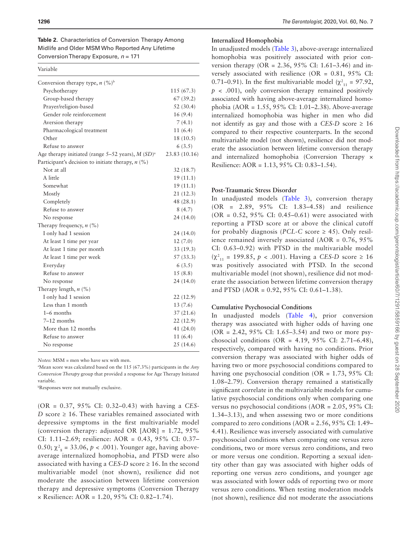<span id="page-5-0"></span>

| ы<br>г |  |
|--------|--|
|        |  |

| Conversion therapy type, $n \binom{9}{0}^b$           |               |
|-------------------------------------------------------|---------------|
| Psychotherapy                                         | 115(67.3)     |
| Group-based therapy                                   | 67(39.2)      |
| Prayer/religion-based                                 | 52(30.4)      |
| Gender role reinforcement                             | 16(9.4)       |
| Aversion therapy                                      | 7(4.1)        |
| Pharmacological treatment                             | 11(6.4)       |
| Other                                                 | 18 (10.5)     |
| Refuse to answer                                      | 6(3.5)        |
| Age therapy initiated (range $5-52$ years), $M(SD)^a$ | 23.83 (10.16) |
| Participant's decision to initiate therapy, $n$ (%)   |               |
| Not at all                                            | 32(18.7)      |
| A little                                              | 19 (11.1)     |
| Somewhat                                              | 19(11.1)      |
| Mostly                                                | 21 (12.3)     |
| Completely                                            | 48 (28.1)     |
| Refuse to answer                                      | 8(4.7)        |
| No response                                           | 24 (14.0)     |
| Therapy frequency, $n$ (%)                            |               |
| I only had 1 session                                  | 24 (14.0)     |
| At least 1 time per year                              | 12(7.0)       |
| At least 1 time per month                             | 33(19.3)      |
| At least 1 time per week                              | 57 (33.3)     |
| Everyday                                              | 6(3.5)        |
| Refuse to answer                                      | 15(8.8)       |
| No response                                           | 24 (14.0)     |
| Therapy length, $n$ (%)                               |               |
| I only had 1 session                                  | 22 (12.9)     |
| Less than 1 month                                     | 13(7.6)       |
| $1-6$ months                                          | 37(21.6)      |
| 7–12 months                                           | 22(12.9)      |
| More than 12 months                                   | 41(24.0)      |
| Refuse to answer                                      | 11(6.4)       |
| No response                                           | 25(14.6)      |

*Notes:* MSM = men who have sex with men.

a Mean score was calculated based on the 115 (67.3%) participants in the *Any Conversion Therapy* group that provided a response for Age Therapy Initiated variable.

b Responses were not mutually exclusive.

(OR = 0.37, 95% CI: 0.32–0.43) with having a *CES-D* score  $\geq$  16. These variables remained associated with depressive symptoms in the first multivariable model (conversion therapy: adjusted OR  $[AOR] = 1.72, 95\%$ CI: 1.11–2.69; resilience: AOR = 0.43, 95% CI: 0.37– 0.50;  $\chi^2_{\rm g}$  = 33.06,  $p < .001$ ). Younger age, having aboveaverage internalized homophobia, and PTSD were also associated with having a *CES-D* score ≥ 16. In the second multivariable model (not shown), resilience did not moderate the association between lifetime conversion therapy and depressive symptoms (Conversion Therapy × Resilience: AOR = 1.20, 95% CI: 0.82–1.74).

#### **Internalized Homophobia**

In unadjusted models [\(Table 3\)](#page-6-0), above-average internalized homophobia was positively associated with prior conversion therapy (OR = 2.36, 95% CI: 1.61–3.46) and inversely associated with resilience (OR = 0.81, 95% CI: 0.71–0.91). In the first multivariable model ( $\chi^2_{11}$  = 97.92,  $p \lt 0.001$ , only conversion therapy remained positively associated with having above-average internalized homophobia (AOR = 1.55, 95% CI: 1.01–2.38). Above-average internalized homophobia was higher in men who did not identify as gay and those with a *CES-D* score  $\geq 16$ compared to their respective counterparts. In the second multivariable model (not shown), resilience did not moderate the association between lifetime conversion therapy and internalized homophobia (Conversion Therapy × Resilience: AOR = 1.13, 95% CI: 0.83–1.54).

#### **Post-Traumatic Stress Disorder**

In unadjusted models ([Table 3](#page-6-0)), conversion therapy (OR = 2.89, 95% CI: 1.83–4.58) and resilience  $(OR = 0.52, 95\% \text{ CI: } 0.45 - 0.61)$  were associated with reporting a PTSD score at or above the clinical cutoff for probably diagnosis (*PCL-C* score  $\geq$  45). Only resilience remained inversely associated (AOR = 0.76, 95% CI: 0.63–0.92) with PTSD in the multivariable model (χ<sup>2</sup> <sup>11</sup> = 199.85, *p* < .001). Having a *CES-D* score ≥ 16 was positively associated with PTSD. In the second multivariable model (not shown), resilience did not moderate the association between lifetime conversion therapy and PTSD (AOR = 0.92, 95% CI: 0.61–1.38).

## **Cumulative Psychosocial Conditions**

In unadjusted models [\(Table 4](#page-7-0)), prior conversion therapy was associated with higher odds of having one (OR = 2.42, 95% CI: 1.65–3.54) and two or more psychosocial conditions (OR =  $4.19, 95\%$  CI: 2.71–6.48), respectively, compared with having no conditions. Prior conversion therapy was associated with higher odds of having two or more psychosocial conditions compared to having one psychosocial condition (OR = 1.73, 95% CI: 1.08–2.79). Conversion therapy remained a statistically significant correlate in the multivariable models for cumulative psychosocial conditions only when comparing one versus no psychosocial conditions (AOR = 2.05, 95% CI: 1.34–3.13), and when assessing two or more conditions compared to zero conditions  $(AOR = 2.56, 95\% \text{ CI: } 1.49-$ 4.41). Resilience was inversely associated with cumulative psychosocial conditions when comparing one versus zero conditions, two or more versus zero conditions, and two or more versus one condition. Reporting a sexual identity other than gay was associated with higher odds of reporting one versus zero conditions, and younger age was associated with lower odds of reporting two or more versus zero conditions. When testing moderation models (not shown), resilience did not moderate the associations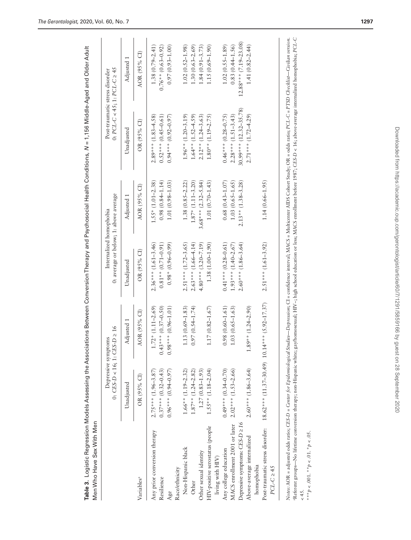|                                      | 0: $CES-D < 16$ ; 1: $CES-D \ge 16$<br>Depressive symptoms |                       | 0: average or below; 1: above average<br>Internalized homophobia |                       | 0: $PCL-C < 45$ ; 1: $PCL-C \geq 45$<br>Post-traumatic stress disorder |                         |
|--------------------------------------|------------------------------------------------------------|-----------------------|------------------------------------------------------------------|-----------------------|------------------------------------------------------------------------|-------------------------|
|                                      | Unadjusted                                                 | Adjusted 1            | Unadjusted                                                       | Adjusted 1            | Unadjusted                                                             | Adjusted 1              |
| Variables <sup>a</sup>               | OR (95% CI)                                                | AOR (95% CI)          | OR (95% CI)                                                      | AOR (95% CI)          | OR (95% CI)                                                            | AOR (95% CI)            |
| Any prior conversion therapy         | $2.75***$ (1.96-3.87)                                      | $1.72*(1.11-2.69)$    | $2.36***$ (1.61-3.46)                                            | $1.55*$ (1.01-2.38)   | $2.89***$ (1.83-4.58)                                                  | $1.38(0.79 - 2.41)$     |
| Resilience                           | $0.37***$ (0.32-0.43)                                      | $0.43***$ (0.37-0.50) | $0.81**$ (0.71–0.91)                                             | $0.98(0.84 - 1.14)$   | $0.52***$ (0.45-0.61)                                                  | $0.76**$ (0.63-0.92)    |
| Age                                  | $(0.96***0.94-0.97)$                                       | $0.98***$ (0.96-1.01) | $0.98*(0.96-0.99)$                                               | $1.01(0.98 - 1.03)$   | $0.94***$ (0.92-0.97)                                                  | $0.97(0.93 - 1.00)$     |
| Race/ethnicity                       |                                                            |                       |                                                                  |                       |                                                                        |                         |
| Non-Hispanic black                   | $1.66**$ (1.19-2.32)                                       | $1.13(0.69 - 1.83)$   | $2.51***$ (1.72-3.65)                                            | $1.38(0.85 - 2.22)$   | $1.96**$ (1.20-3.19)                                                   | $1.02(0.52 - 1.98)$     |
| Other                                | $1.87**$ (1.24-2.82)                                       | $0.97(0.54 - 1.74)$   | $2.63***$ (1.66-4.14)                                            | $1.87*$ (1.11-3.20)   | $1.64**$ (1.52-4.59)                                                   | $1.30(0.63 - 2.69)$     |
| Other sexual identity                | $1.27(0.83 - 1.93)$                                        |                       | $4.80***$ (3.20-7.19)                                            | $3.68***$ (2.32-5.84) | $2.12**$ (1.24-3.63)                                                   | $1.84(0.91 - 3.73)$     |
| HIV-positive serostatus (people      | $1.55**$ (1.18-2.04)                                       | $1.17(0.82 - 1.67)$   | $1.38(1.00 - 1.90)$                                              | $1.01(0.70 - 1.43)$   | $1.80**$ (1.19-2.75)                                                   | $1.15(0.69 - 1.90)$     |
| living with HIV)                     |                                                            |                       |                                                                  |                       |                                                                        |                         |
| Any college education                | $0.49***$ (0.34–0.70)                                      | $0.98(0.60 - 1.61)$   | $0.41***$ (0.28-0.61)                                            | $0.68(0.43 - 1.07)$   | $0.46***$ (0.28-0.75)                                                  | $1.02(0.55 - 1.89)$     |
| MACS enrollment 2001 or later        | $2.02***$ (1.53-2.66)                                      | $1.03(0.65 - 1.63)$   | $1.93***$ (1.40-2.67)                                            | $1.03(0.65 - 1.65)$   | $2.28***$ (1.51-3.43)                                                  | $0.83(0.44 - 1.56)$     |
| Depressive symptoms: $CES-D \geq 16$ |                                                            |                       | $2.60***$ (1.86-3.64)                                            | $2.13**$ (1.38-3.28)  | $30.99***$ (12.32-35.78)                                               | $12.88***$ (7.19-23.08) |
| Above-average internalized           | $2.60***$ (1.86-3.64)                                      | $.89**$ (1.24-2.90)   |                                                                  |                       | $2.71***$ (1.72-4.29)                                                  | $1.41(0.82 - 2.44)$     |
| homophobia                           |                                                            |                       |                                                                  |                       |                                                                        |                         |
| Post-traumatic stress disorder:      | $18.62***$ (11.37-30.49) $10.14***$ (5.92-17.37)           |                       | $2.51***$ (1.61-3.92)                                            | $1.14(0.66 - 1.95)$   |                                                                        |                         |
| $PCL-C \geq 45$                      |                                                            |                       |                                                                  |                       |                                                                        |                         |

Table 3. Logistic Regression Models Assessing the Associations Between Conversion Therapy and Psychosocial Health Conditions, N = 1,156 Middle-Aged and Older Adult **Table 3.** Logistic Regression Models Assessing the Associations Between Conversion Therapy and Psychosocial Health Conditions, *N* = 1,156 Middle-Aged and Older Adult Men Who Have Sex With Men Men Who Have Sex With Men

Referent groups-No lifetime conversion therapy; non-Hispanic white; gay/homosexual; HIV-; high school education or less; MACS enrollment before 1987; CES-D < 16; above-average internalized homophobia; PCL-C aReferent groups—No lifetime conversion therapy; non-Hispanic white; gay/homosexual; HIV−; high school education or less; MACS enrollment before 1987; *CES-D* < 16; above-average internalized homophobia; *PCL-C*  $< 45.$ 

<span id="page-6-0"></span>\*\*\* $p < .001$ . \*\* $p < .01$ . \* $p < .05$ . \*\*\**p* < .001. \*\**p* < .01. \**p* < .05.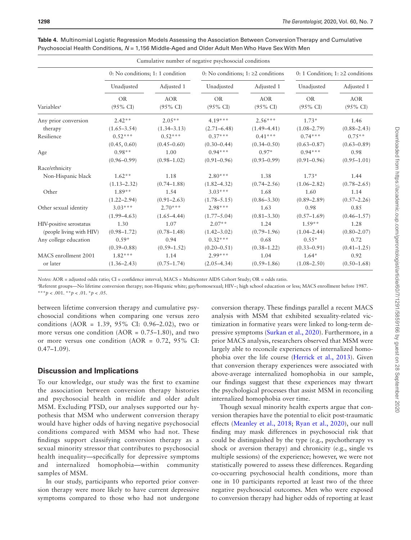|                          |                                  |                                   | Cumulative number of negative psychosocial conditions |                                   |                                        |                                   |
|--------------------------|----------------------------------|-----------------------------------|-------------------------------------------------------|-----------------------------------|----------------------------------------|-----------------------------------|
|                          | 0: No conditions; 1: 1 condition |                                   | 0: No conditions; $1: \geq 2$ conditions              |                                   | 0: 1 Condition; 1: $\geq$ 2 conditions |                                   |
|                          | Unadjusted                       | Adjusted 1                        | Unadjusted                                            | Adjusted 1                        | Unadjusted                             | Adjusted 1                        |
| Variables <sup>a</sup>   | <b>OR</b><br>$(95\% \text{ CI})$ | <b>AOR</b><br>$(95\% \text{ CI})$ | <b>OR</b><br>$(95\% \text{ CI})$                      | <b>AOR</b><br>$(95\% \text{ CI})$ | <b>OR</b><br>$(95\% \text{ CI})$       | <b>AOR</b><br>$(95\% \text{ CI})$ |
| Any prior conversion     | $2.42**$                         | $2.05**$                          | $4.19***$                                             | $2.56***$                         | $1.73*$                                | 1.46                              |
| therapy                  | $(1.65 - 3.54)$                  | $(1.34 - 3.13)$                   | $(2.71 - 6.48)$                                       | $(1.49 - 4.41)$                   | $(1.08 - 2.79)$                        | $(0.88 - 2.43)$                   |
| Resilience               | $0.52***$                        | $0.52***$                         | $0.37***$                                             | $0.41***$                         | $0.74***$                              | $0.75**$                          |
|                          | (0.45, 0.60)                     | $(0.45 - 0.60)$                   | $(0.30 - 0.44)$                                       | $(0.34 - 0.50)$                   | $(0.63 - 0.87)$                        | $(0.63 - 0.89)$                   |
| Age                      | $0.98**$                         | 1.00                              | $0.94***$                                             | $0.97*$                           | $0.94***$                              | 0.98                              |
|                          | $(0.96 - 0.99)$                  | $(0.98 - 1.02)$                   | $(0.91 - 0.96)$                                       | $(0.93 - 0.99)$                   | $(0.91 - 0.96)$                        | $(0.95 - 1.01)$                   |
| Race/ethnicity           |                                  |                                   |                                                       |                                   |                                        |                                   |
| Non-Hispanic black       | $1.62**$                         | 1.18                              | $2.80***$                                             | 1.38                              | $1.73*$                                | 1.44                              |
|                          | $(1.13 - 2.32)$                  | $(0.74 - 1.88)$                   | $(1.82 - 4.32)$                                       | $(0.74 - 2.56)$                   | $(1.06 - 2.82)$                        | $(0.78 - 2.65)$                   |
| Other                    | $1.89**$                         | 1.54                              | $3.03***$                                             | 1.68                              | 1.60                                   | 1.14                              |
|                          | $(1.22 - 2.94)$                  | $(0.91 - 2.63)$                   | $(1.78 - 5.15)$                                       | $(0.86 - 3.30)$                   | $(0.89 - 2.89)$                        | $(0.57 - 2.26)$                   |
| Other sexual identity    | $3.03***$                        | $2.70***$                         | $2.98***$                                             | 1.63                              | 0.98                                   | 0.85                              |
|                          | $(1.99 - 4.63)$                  | $(1.65 - 4.44)$                   | $(1.77 - 5.04)$                                       | $(0.81 - 3.30)$                   | $(0.57 - 1.69)$                        | $(0.46 - 1.57)$                   |
| HIV-positive serostatus  | 1.30                             | 1.07                              | $2.07**$                                              | 1.24                              | $1.59**$                               | 1.28                              |
| (people living with HIV) | $(0.98 - 1.72)$                  | $(0.78 - 1.48)$                   | $(1.42 - 3.02)$                                       | $(0.79 - 1.96)$                   | $(1.04 - 2.44)$                        | $(0.80 - 2.07)$                   |
| Any college education    | $0.59*$                          | 0.94                              | $0.32***$                                             | 0.68                              | $0.55*$                                | 0.72                              |
|                          | $(0.39 - 0.88)$                  | $(0.59 - 1.52)$                   | $(0.20 - 0.51)$                                       | $(0.38 - 1.22)$                   | $(0.33 - 0.91)$                        | $(0.41 - 1.25)$                   |
| MACS enrollment 2001     | $1.82***$                        | 1.14                              | $2.99***$                                             | 1.04                              | $1.64*$                                | 0.92                              |
| or later                 | $(1.36 - 2.43)$                  | $(0.75 - 1.74)$                   | $(2.05 - 4.34)$                                       | $(0.59 - 1.86)$                   | $(1.08 - 2.50)$                        | $(0.50 - 1.68)$                   |

<span id="page-7-0"></span>**Table 4.** Multinomial Logistic Regression Models Assessing the Association Between Conversion Therapy and Cumulative Psychosocial Health Conditions, *N* = 1,156 Middle-Aged and Older Adult Men Who Have Sex With Men

*Notes:* AOR = adjusted odds ratio; CI = confidence interval; MACS = Multicenter AIDS Cohort Study; OR = odds ratio.

a Referent groups—No lifetime conversion therapy; non-Hispanic white; gay/homosexual; HIV−; high school education or less; MACS enrollment before 1987. \*\*\**p* < .001. \*\**p* < .01. \**p* < .05.

between lifetime conversion therapy and cumulative psychosocial conditions when comparing one versus zero conditions (AOR =  $1.39, 95\%$  CI: 0.96–2.02), two or more versus one condition ( $AOR = 0.75-1.80$ ), and two or more versus one condition  $(AOR = 0.72, 95\% \text{ CI:})$  $0.47 - 1.09$ ).

# **Discussion and Implications**

To our knowledge, our study was the first to examine the association between conversion therapy histories and psychosocial health in midlife and older adult MSM. Excluding PTSD, our analyses supported our hypothesis that MSM who underwent conversion therapy would have higher odds of having negative psychosocial conditions compared with MSM who had not. These findings support classifying conversion therapy as a sexual minority stressor that contributes to psychosocial health inequality—specifically for depressive symptoms and internalized homophobia—within community samples of MSM.

In our study, participants who reported prior conversion therapy were more likely to have current depressive symptoms compared to those who had not undergone conversion therapy. These findings parallel a recent MACS analysis with MSM that exhibited sexuality-related victimization in formative years were linked to long-term depressive symptoms ([Surkan et al., 2020\)](#page-11-21). Furthermore, in a prior MACS analysis, researchers observed that MSM were largely able to reconcile experiences of internalized homophobia over the life course [\(Herrick et al., 2013\)](#page-10-12). Given that conversion therapy experiences were associated with above-average internalized homophobia in our sample, our findings suggest that these experiences may thwart the psychological processes that assist MSM in reconciling internalized homophobia over time.

Though sexual minority health experts argue that conversion therapies have the potential to elicit post-traumatic effects [\(Meanley et al., 2018;](#page-11-13) [Ryan et al., 2020](#page-11-12)), our null finding may mask differences in psychosocial risk that could be distinguished by the type (e.g., psychotherapy vs shock or aversion therapy) and chronicity (e.g., single vs multiple sessions) of the experience; however, we were not statistically powered to assess these differences. Regarding co-occurring psychosocial health conditions, more than one in 10 participants reported at least two of the three negative psychosocial outcomes. Men who were exposed to conversion therapy had higher odds of reporting at least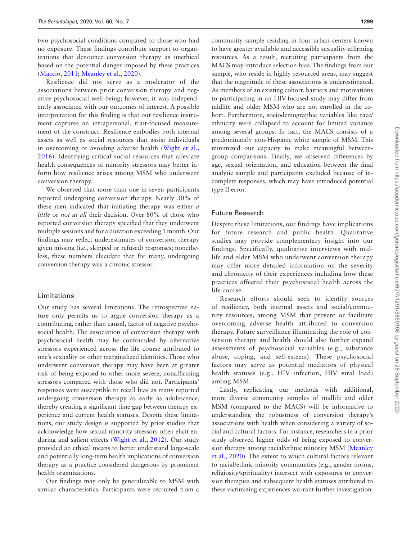two psychosocial conditions compared to those who had no exposure. These findings contribute support to organizations that denounce conversion therapy as unethical based on the potential danger imposed by these practices ([Maccio, 2011;](#page-11-9) [Meanley et al., 2020\)](#page-11-7).

Resilience did not serve as a moderator of the associations between prior conversion therapy and negative psychosocial well-being; however, it was independently associated with our outcomes of interest. A possible interpretation for this finding is that our resilience instrument captures an intrapersonal, trait-focused measurement of the construct. Resilience embodies both internal assets as well as social resources that assist individuals in overcoming or avoiding adverse health [\(Wight et al.,](#page-11-3)  [2016\)](#page-11-3). Identifying critical social resources that alleviate health consequences of minority stressors may better inform how resilience arises among MSM who underwent conversion therapy.

We observed that more than one in seven participants reported undergoing conversion therapy. Nearly 30% of these men indicated that initiating therapy was either *a little* or *not at all* their decision. Over 80% of those who reported conversion therapy specified that they underwent multiple sessions and for a duration exceeding 1 month. Our findings may reflect underestimates of conversion therapy given missing (i.e., skipped or refused) responses; nonetheless, these numbers elucidate that for many, undergoing conversion therapy was a chronic stressor.

#### Limitations

Our study has several limitations. The retrospective nature only permits us to argue conversion therapy as a contributing, rather than causal, factor of negative psychosocial health. The association of conversion therapy with psychosocial health may be confounded by alternative stressors experienced across the life course attributed to one's sexuality or other marginalized identities. Those who underwent conversion therapy may have been at greater risk of being exposed to other more severe, nonaffirming stressors compared with those who did not. Participants' responses were susceptible to recall bias as many reported undergoing conversion therapy as early as adolescence, thereby creating a significant time gap between therapy experience and current health statuses. Despite these limitations, our study design is supported by prior studies that acknowledge how sexual minority stressors often elicit enduring and salient effects ([Wight et al., 2012](#page-11-4)). Our study provided an ethical means to better understand large-scale and potentially long-term health implications of conversion therapy as a practice considered dangerous by prominent health organizations.

Our findings may only be generalizable to MSM with similar characteristics. Participants were recruited from a

community sample residing in four urban centers known to have greater available and accessible sexuality-affirming resources. As a result, recruiting participants from the MACS may introduce selection bias. The findings from our sample, who reside in highly resourced areas, may suggest that the magnitude of these associations is underestimated. As members of an existing cohort, barriers and motivations to participating in an HIV-focused study may differ from midlife and older MSM who are not enrolled in the cohort. Furthermore, sociodemographic variables like race/ ethnicity were collapsed to account for limited variance among several groups. In fact, the MACS consists of a predominantly non-Hispanic white sample of MSM. This minimized our capacity to make meaningful betweengroup comparisons. Finally, we observed differences by age, sexual orientation, and education between the final analytic sample and participants excluded because of incomplete responses, which may have introduced potential type II error.

#### Future Research

Despite these limitations, our findings have implications for future research and public health. Qualitative studies may provide complementary insight into our findings. Specifically, qualitative interviews with midlife and older MSM who underwent conversion therapy may offer more detailed information on the severity and chronicity of their experiences including how these practices affected their psychosocial health across the life course.

Research efforts should seek to identify sources of resiliency, both internal assets and social/community resources, among MSM that prevent or facilitate overcoming adverse health attributed to conversion therapy. Future surveillance illuminating the role of conversion therapy and health should also further expand assessments of psychosocial variables (e.g., substance abuse, coping, and self-esteem). These psychosocial factors may serve as potential mediators of physical health statuses (e.g., HIV infection, HIV viral load) among MSM.

Lastly, replicating our methods with additional, more diverse community samples of midlife and older MSM (compared to the MACS) will be informative to understanding the robustness of conversion therapy's associations with health when considering a variety of social and cultural factors. For instance, researchers in a prior study observed higher odds of being exposed to conversion therapy among racial/ethnic minority MSM [\(Meanley](#page-11-7)  [et al., 2020](#page-11-7)). The extent to which cultural factors relevant to racial/ethnic minority communities (e.g., gender norms, religiosity/spirituality) intersect with exposures to conversion therapies and subsequent health statuses attributed to these victimizing experiences warrant further investigation.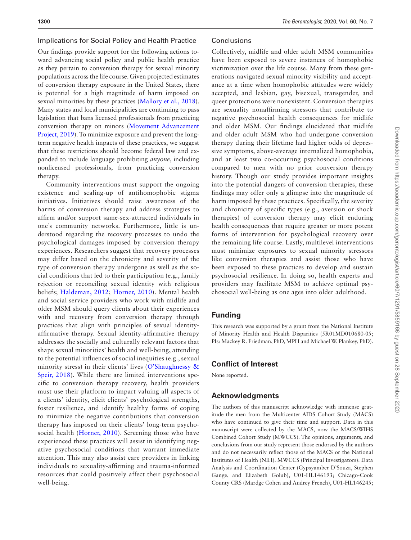#### Implications for Social Policy and Health Practice

Our findings provide support for the following actions toward advancing social policy and public health practice as they pertain to conversion therapy for sexual minority populations across the life course. Given projected estimates of conversion therapy exposure in the United States, there is potential for a high magnitude of harm imposed on sexual minorities by these practices [\(Mallory et al., 2018](#page-11-11)). Many states and local municipalities are continuing to pass legislation that bans licensed professionals from practicing conversion therapy on minors ([Movement Advancement](#page-11-10)  [Project, 2019](#page-11-10)). To minimize exposure and prevent the longterm negative health impacts of these practices, we suggest that these restrictions should become federal law and expanded to include language prohibiting *anyone*, including nonlicensed professionals, from practicing conversion therapy.

Community interventions must support the ongoing existence and scaling-up of antihomophobic stigma initiatives. Initiatives should raise awareness of the harms of conversion therapy and address strategies to affirm and/or support same-sex-attracted individuals in one's community networks. Furthermore, little is understood regarding the recovery processes to undo the psychological damages imposed by conversion therapy experiences. Researchers suggest that recovery processes may differ based on the chronicity and severity of the type of conversion therapy undergone as well as the social conditions that led to their participation (e.g., family rejection or reconciling sexual identity with religious beliefs; [Haldeman, 2012;](#page-10-21) [Horner, 2010\)](#page-10-10). Mental health and social service providers who work with midlife and older MSM should query clients about their experiences with and recovery from conversion therapy through practices that align with principles of sexual identityaffirmative therapy. Sexual identity-affirmative therapy addresses the socially and culturally relevant factors that shape sexual minorities' health and well-being, attending to the potential influences of social inequities (e.g., sexual minority stress) in their clients' lives ([O'Shaughnessy &](#page-11-22)  [Speir, 2018](#page-11-22)). While there are limited interventions specific to conversion therapy recovery, health providers must use their platform to impart valuing all aspects of a clients' identity, elicit clients' psychological strengths, foster resilience, and identify healthy forms of coping to minimize the negative contributions that conversion therapy has imposed on their clients' long-term psychosocial health ([Horner, 2010\)](#page-10-10). Screening those who have experienced these practices will assist in identifying negative psychosocial conditions that warrant immediate attention. This may also assist care providers in linking individuals to sexuality-affirming and trauma-informed resources that could positively affect their psychosocial well-being.

#### **Conclusions**

Collectively, midlife and older adult MSM communities have been exposed to severe instances of homophobic victimization over the life course. Many from these generations navigated sexual minority visibility and acceptance at a time when homophobic attitudes were widely accepted, and lesbian, gay, bisexual, transgender, and queer protections were nonexistent. Conversion therapies are sexuality nonaffirming stressors that contribute to negative psychosocial health consequences for midlife and older MSM. Our findings elucidated that midlife and older adult MSM who had undergone conversion therapy during their lifetime had higher odds of depressive symptoms, above-average internalized homophobia, and at least two co-occurring psychosocial conditions compared to men with no prior conversion therapy history. Though our study provides important insights into the potential dangers of conversion therapies, these findings may offer only a glimpse into the magnitude of harm imposed by these practices. Specifically, the severity and chronicity of specific types (e.g., aversion or shock therapies) of conversion therapy may elicit enduring health consequences that require greater or more potent forms of intervention for psychological recovery over the remaining life course. Lastly, multilevel interventions must minimize exposures to sexual minority stressors like conversion therapies and assist those who have been exposed to these practices to develop and sustain psychosocial resilience. In doing so, health experts and providers may facilitate MSM to achieve optimal psychosocial well-being as one ages into older adulthood.

# **Funding**

This research was supported by a grant from the National Institute of Minority Health and Health Disparities (5R01MD010680-05; PIs: Mackey R. Friedman, PhD, MPH and Michael W. Plankey, PhD).

# **Conflict of Interest**

None reported.

# **Acknowledgments**

The authors of this manuscript acknowledge with immense gratitude the men from the Multicenter AIDS Cohort Study (MACS) who have continued to give their time and support. Data in this manuscript were collected by the MACS, now the MACS/WIHS Combined Cohort Study (MWCCS). The opinions, arguments, and conclusions from our study represent those endorsed by the authors and do not necessarily reflect those of the MACS or the National Institutes of Health (NIH). MWCCS (Principal Investigators): Data Analysis and Coordination Center (Gypsyamber D'Souza, Stephen Gange, and Elizabeth Golub), U01-HL146193; Chicago-Cook County CRS (Mardge Cohen and Audrey French), U01-HL146245;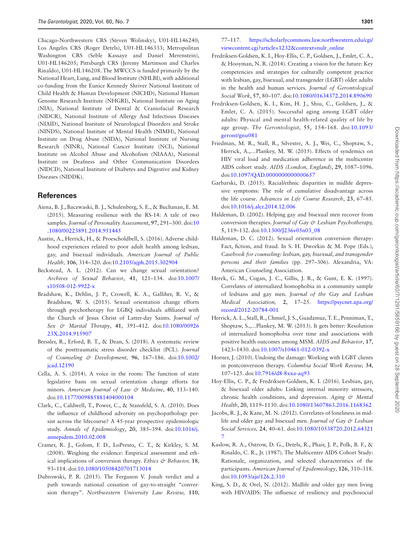Chicago-Northwestern CRS (Steven Wolinsky), U01-HL146240; Los Angeles CRS (Roger Detels), U01-HL146333; Metropolitan Washington CRS (Seble Kassaye and Daniel Merenstein), U01-HL146205; Pittsburgh CRS (Jeremy Martinson and Charles Rinaldo), U01-HL146208. The MWCCS is funded primarily by the National Heart, Lung, and Blood Institute (NHLBI), with additional co-funding from the Eunice Kennedy Shriver National Institute of Child Health & Human Development (NICHD), National Human Genome Research Institute (NHGRI), National Institute on Aging (NIA), National Institute of Dental & Craniofacial Research (NIDCR), National Institute of Allergy And Infectious Diseases (NIAID), National Institute of Neurological Disorders and Stroke (NINDS), National Institute of Mental Health (NIMH), National Institute on Drug Abuse (NIDA), National Institute of Nursing Research (NINR), National Cancer Institute (NCI), National Institute on Alcohol Abuse and Alcoholism (NIAAA), National Institute on Deafness and Other Communication Disorders (NIDCD), National Institute of Diabetes and Digestive and Kidney Diseases (NIDDK).

# **References**

- <span id="page-10-18"></span>Aiena, B. J., Baczwaski, B. J., Schulenberg, S. E., & Buchanan, E. M. (2015). Measuring resilience with the RS-14: A tale of two samples. *Journal of Personality Assessment*, **97**, 291–300. doi:[10](https://doi.org/10.1080/00223891.2014.951445) [.1080/00223891.2014.951445](https://doi.org/10.1080/00223891.2014.951445)
- <span id="page-10-2"></span>Austin, A., Herrick, H., & Proescholdbell, S. (2016). Adverse childhood experiences related to poor adult health among lesbian, gay, and bisexual individuals. *American Journal of Public Health,* **106**, 314–320. doi[:10.2105/ajph.2015.302904](https://doi.org/10.2105/ajph.2015.302904)
- <span id="page-10-7"></span>Beckstead, A. L. (2012). Can we change sexual orientation? *Archives of Sexual Behavior*, **41**, 121–134. doi:[10.1007/](https://doi.org/10.1007/s10508-012-9922-x) [s10508-012-9922-x](https://doi.org/10.1007/s10508-012-9922-x)
- <span id="page-10-9"></span>Bradshaw, K., Dehlin, J. P., Crowell, K. A., Galliher, R. V., & Bradshaw, W. S. (2015). Sexual orientation change efforts through psychotherapy for LGBQ individuals affiliated with the Church of Jesus Christ of Latter-day Saints. *Journal of Sex & Marital Therapy*, **41**, 391–412. doi[:10.1080/00926](https://doi.org/10.1080/0092623X.2014.915907) [23X.2014.915907](https://doi.org/10.1080/0092623X.2014.915907)
- <span id="page-10-17"></span>Bressler, R., Erford, B. T., & Dean, S. (2018). A systematic review of the posttraumatic stress disorder checklist (PCL). *Journal of Counseling & Development,* **96**, 167–186. doi:[10.1002/](https://doi.org/10.1002/jcad.12190) [jcad.12190](https://doi.org/10.1002/jcad.12190)
- <span id="page-10-4"></span>Cella, A. S. (2014). A voice in the room: The function of state legislative bans on sexual orientation change efforts for minors. *American Journal of Law & Medicine*, **40**, 113–140. doi:[10.1177/009885881404000104](https://doi.org/10.1177/009885881404000104)
- <span id="page-10-3"></span>Clark, C., Caldwell, T., Power, C., & Stansfeld, S. A. (2010). Does the influence of childhood adversity on psychopathology persist across the lifecourse? A 45-year prospective epidemiologic study. *Annals of Epidemiology*, **20**, 385–394. doi[:10.1016/j.](https://doi.org/10.1016/j.annepidem.2010.02.008) [annepidem.2010.02.008](https://doi.org/10.1016/j.annepidem.2010.02.008)
- <span id="page-10-5"></span>Cramer, R. J., Golom, F. D., LoPresto, C. T., & Kirkley, S. M. (2008). Weighing the evidence: Empirical assessment and ethical implications of conversion therapy. *Ethics & Behavior*, 18, 93–114. doi[:10.1080/10508420701713014](https://doi.org/10.1080/10508420701713014)
- <span id="page-10-6"></span>Dubrowski, P. R. (2015). The Ferguson V. Jonah verdict and a path towards national cessation of gay-to-straight "conversion therapy". *Northwestern University Law Review,* **110**,

77–117. [https://scholarlycommons.law.northwestern.edu/cgi/](https://scholarlycommons.law.northwestern.edu/cgi/viewcontent.cgi?article=1232&context=nulr_online) [viewcontent.cgi?article=1232&context=nulr\\_online](https://scholarlycommons.law.northwestern.edu/cgi/viewcontent.cgi?article=1232&context=nulr_online)

- <span id="page-10-0"></span>Fredriksen-Goldsen, K. I., Hoy-Ellis, C. P., Goldsen, J., Emlet, C. A., & Hooyman, N. R. (2014). Creating a vision for the future: Key competencies and strategies for culturally competent practice with lesbian, gay, bisexual, and transgender (LGBT) older adults in the health and human services. *Journal of Gerontological Social Work*, **57**, 80–107. doi[:10.1080/01634372.2014.890690](https://doi.org/10.1080/01634372.2014.890690)
- <span id="page-10-11"></span>Fredriksen-Goldsen, K. I., Kim, H. J., Shiu, C., Goldsen, J., & Emlet, C. A. (2015). Successful aging among LGBT older adults: Physical and mental health-related quality of life by age group. *The Gerontologist*, **55**, 154–168. doi[:10.1093/](https://doi.org/10.1093/geront/gnu081) [geront/gnu081](https://doi.org/10.1093/geront/gnu081)
- <span id="page-10-19"></span>Friedman, M. R., Stall, R., Silvestre, A. J., Wei, C., Shoptaw, S., Herrick, A.,…Plankey, M. W. (2015). Effects of syndemics on HIV viral load and medication adherence in the multicentre AIDS cohort study. *AIDS (London, England)*, **29**, 1087–1096. doi:[10.1097/QAD.0000000000000657](https://doi.org/10.1097/QAD.0000000000000657)
- <span id="page-10-20"></span>Garbarski, D. (2015). Racial/ethnic disparities in midlife depressive symptoms: The role of cumulative disadvantage across the life course. *Advances in Life Course Research*, **23**, 67–85. doi:[10.1016/j.alcr.2014.12.006](https://doi.org/10.1016/j.alcr.2014.12.006)
- <span id="page-10-8"></span>Haldeman, D. (2002). Helping gay and bisexual men recover from conversion therapies. *Journal of Gay & Lesbian Psychotherapy,* **5**, 119–132. doi[:10.1300/J236v05n03\\_08](https://doi.org/10.1300/J236v05n03_08)
- <span id="page-10-21"></span>Haldeman, D. C. (2012). Sexual orientation conversion therapy: Fact, fiction, and fraud. In S. H. Dworkin & M. Pope (Eds.), *Casebook for counseling: lesbian, gay, bisexual, and transgender persons and their families* (pp. 297–306). Alexandria, VA: American Counseling Association.
- <span id="page-10-16"></span>Herek, G. M., Cogan, J. C., Gillis, J. R., & Gunt, E. K. (1997). Correlates of internalized homophobia in a community sample of lesbians and gay men. *Journal of the Gay and Lesbian Medical Association,* **2**, 17–25. [https://psycnet.apa.org/](https://psycnet.apa.org/record/2012-20784-001) [record/2012-20784-001](https://psycnet.apa.org/record/2012-20784-001)
- <span id="page-10-12"></span>Herrick, A. L., Stall, R., Chmiel, J. S., Guadamuz, T. E., Penniman, T., Shoptaw, S.,…Plankey, M. W. (2013). It gets better: Resolution of internalized homophobia over time and associations with positive health outcomes among MSM. *AIDS and Behavior*, **17**, 1423–1430. doi:[10.1007/s10461-012-0392-x](https://doi.org/10.1007/s10461-012-0392-x)
- <span id="page-10-10"></span>Horner, J. (2010). Undoing the damage: Working with LGBT clients in postconversion therapy. *Columbia Social Work Review,* **34**, 107–125. doi:[10.7916/d8-8xxa-aq93](https://doi.org/10.7916/d8-8xxa-aq93)
- <span id="page-10-1"></span>Hoy-Ellis, C. P., & Fredriksen-Goldsen, K. I. (2016). Lesbian, gay, & bisexual older adults: Linking internal minority stressors, chronic health conditions, and depression. *Aging & Mental Health*, **20**, 1119–1130. doi[:10.1080/13607863.2016.1168362](https://doi.org/10.1080/13607863.2016.1168362)
- <span id="page-10-15"></span>Jacobs, R. J., & Kane, M. N. (2012). Correlates of loneliness in midlife and older gay and bisexual men. *Journal of Gay & Lesbian Social Services,* **24**, 40–61. doi[:10.1080/10538720.2012.64321](https://doi.org/10.1080/10538720.2012.643217) [7](https://doi.org/10.1080/10538720.2012.643217)
- <span id="page-10-14"></span>Kaslow, R. A., Ostrow, D. G., Detels, R., Phair, J. P., Polk, B. F., & Rinaldo, C. R., Jr. (1987). The Multicenter AIDS Cohort Study: Rationale, organization, and selected characteristics of the participants. *American Journal of Epidemiology*, **126**, 310–318. doi:[10.1093/aje/126.2.310](https://doi.org/10.1093/aje/126.2.310)
- <span id="page-10-13"></span>King, S. D., & Orel, N. (2012). Midlife and older gay men living with HIV/AIDS: The influence of resiliency and psychosocial